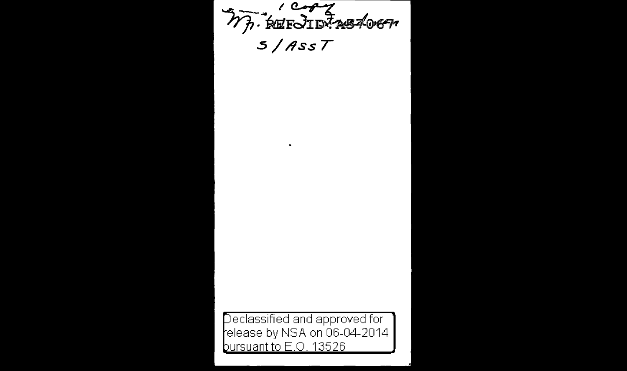MA REFORMASTORA  $5/$ Ass $T$ 

 $\sim$ 

Declassified and approved for elease by NSA on 06-04-2014 bursuant to E.O. 13526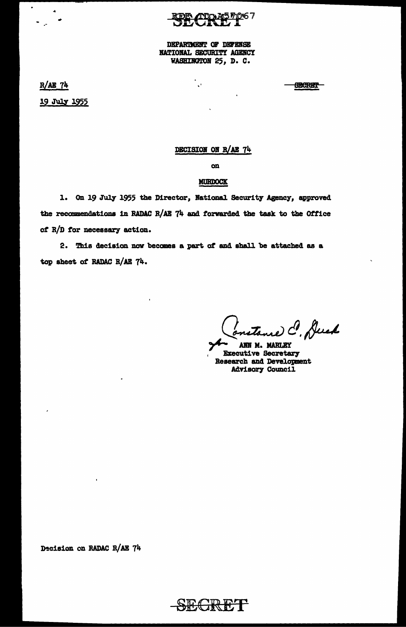<u>ADDAA5710</u>67

DEPARTMENT OF DEFENSE NATIONAL SECURITY AGENCY WASHINGTON 25, D. C.

٦.,

 $R/AE$  74 19 July 1955

**GEGRET** 

## DECISION ON R/AE 74

 $\mathbf{on}$ 

### **MURDOCK**

1. On 19 July 1955 the Director, National Security Agency, approved the recommendations in RADAC R/AE 74 and forwarded the task to the Office of R/D for necessary action.

2. This decision now becomes a part of and shall be attached as a top sheet of RADAC R/AE 74.

re C. Duck

ANN M. MARLEY **Executive Secretary Research and Development Advisory Council** 

Decision on RADAC R/AE 74

SECRET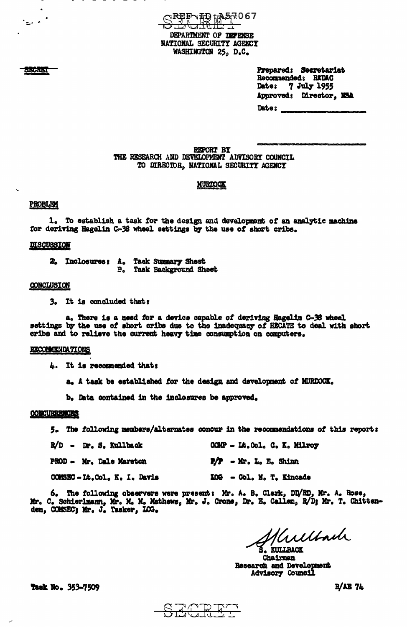**◯R₽₽╮₮**₽ ţ₳፮₹067 <del>ز و ارو ان</del> DEPARTMENT OF DEPENSE NATIONAL SECURITY AGENCY WASHINGTON 25, D.C.

> Prepared: Secretariat Recommended: RADAC 7 July 1955 **Date:** Approved: Director. NSA Date:

REPORT BY THE RESEARCH AND DEVELOPMENT ADVISORY COUNCIL TO DIRECTOR, NATIONAL SECURITY AGENCY

# **MURIOCK**

#### **PROBLEM**

1. To establish a task for the design and development of an analytic machine for deriving Hagelin C-38 wheel settings by the use of short cribs.

#### **DISCUSSION**

2. Inclosures: A. Task Summary Sheet **P.** Task Background Sheet

#### CONCLUSION

3. It is concluded thats

a. There is a need for a device capable of deriving Hagelin C-36 wheel settings by the use of short cribs due to the inadequacy of HECATE to deal with short cribs and to relieve the current heavy time consumption on computers.

### RECOMMENDATIONS

4. It is recommended that:

a. A task be established for the design and development of MURDOCK.

b. Data contained in the inclosures be approved.

#### **CONCURRENCES:**

5. The following members/alternates concur in the recommendations of this report:

| R/D - Dr. S. Kullback          | COMP - Lt. Col. C. K. Milroy |
|--------------------------------|------------------------------|
| <b>PROD - Mr. Dale Marston</b> | $P/P - Mr$ , $L_0 E_0$ Shinn |
| COMSEC-Lt.Col. K. I. Davis     | LOG - Col. N. T. Kincade     |

6. The following observers were present: Mr. A. B. Clark, DD/RD, Mr. A. Rose, Mr. C. Schierlmann, Mr. M. Mathews, Mr. J. Crone, Dr. E. Callen, R/D; Mr. T. Chittenden, COMSEC; Mr. J. Tasker, LOG.

Kullach KULLBACK

Chairman Research and Development Advisory Council

**Task No. 353-7509** 

**R/AB 74** 



SECRET

المستعين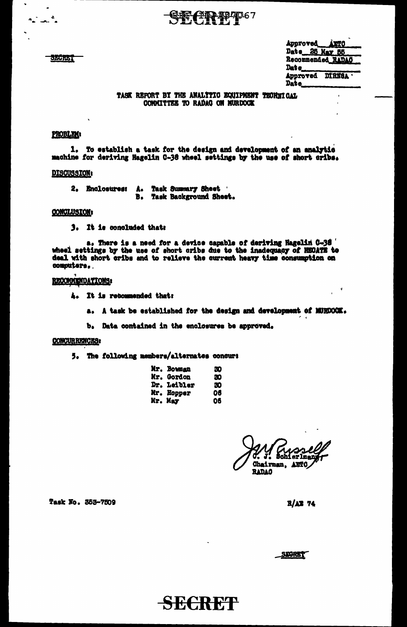**SECRET** 

- 4

|          | Approved AUTO     |
|----------|-------------------|
|          | Date 25 May 55    |
|          | Recommended RADAC |
| Dat e___ |                   |
|          | Approved DIRNSA   |
| Date_    |                   |

### TASK REPORT BY THE ANALITIC EQUIPMENT TECHNICAL COMMITTEE TO RADAG ON NURDOCK

**HIP 497067** 

# **PROBLEM:**

1. To establish a task for the design and development of an analytic machine for deriving Hagelin C-38 wheel settings by the use of short cribs.

# DISCUSSION:

2. Enclosures: A. Task Summary Sheet<br>B. Task Background Sheet.

### CONCLUSION:

3. It is concluded that:

a. There is a need for a device capable of deriving Hagelin 0-38 ' wheel settings by the use of short cribs due to the inadequacy of HEOATE to deal with short cribs and to relieve the current heavy time consumption on computers.

### RECOMMENDATIONS:

- 4. It is recommended that:
	- a. A task be established for the design and development of MURDOCK.

b. Data contained in the enclosures be approved.

## **CONCURRENCES:**

5. The following members/alternates concur:

| <b>Mr. Bowman</b>  | æ  |
|--------------------|----|
| <b>Mr. Gordon</b>  | æ  |
| <b>Dr. Leibler</b> | 30 |
| Mr. Hopper         | 06 |
| Mr. May            | 06 |

SECRET

sahi erlman Chairman, AETO **RADAC** 

Task No. 353-7509

 $R/AB$  74

STORET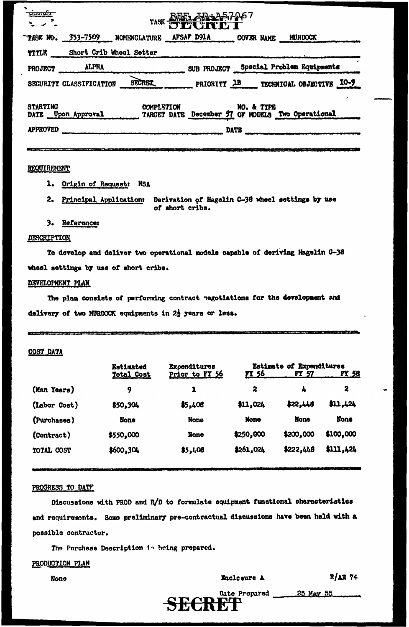| ᠊ᠣᡂᢛᡱ           |                                           |                   | TASK REEL ARD A57-067                             |             |                                             |  |
|-----------------|-------------------------------------------|-------------------|---------------------------------------------------|-------------|---------------------------------------------|--|
|                 | TASK NO. 353-7509 NOMENCLATURE AFSAF D91A |                   |                                                   | COVER NAME  | <b>MURDOCK</b>                              |  |
| TITLE           | Short Crib Wheel Setter                   |                   |                                                   |             |                                             |  |
| <b>PROJECT</b>  | ALPHA                                     |                   |                                                   |             | SUB PROJECT Special Problem Equipments      |  |
|                 | SECURITY CLASSIFICATION                   | <b>SECRET</b>     |                                                   |             | PRIORITY <b>1B</b> TECHNICAL OBJECTIVE IO-9 |  |
| <b>STARTING</b> | DATE Upon Approval                        | <b>COMPLETION</b> | TARGET DATE December 57 OF MODELS Two Operational | NO. & TYPE  |                                             |  |
| <b>APPROVED</b> |                                           |                   |                                                   | <b>DATE</b> |                                             |  |
|                 |                                           |                   |                                                   |             |                                             |  |

## REQUIREMENT

- 1. Origin of Request: NSA
- 2. Principal Application: Derivation of Hagelin C-38 wheel settings by use of short cribs.

## 3. Reference:

### **DESCRIPTION**

To develop and deliver two operational models capable of deriving Hagelin C-38 wheel settings by use of short cribs.

## DEVELOPMENT PLAN

The plan consists of performing contract negotiations for the development and delivery of two MURDOCK equipments in 22 years or less.

## **COST DATA**

|              | Estimated   | Expenditures   | Estimate of Expenditures |             |              |  |  |
|--------------|-------------|----------------|--------------------------|-------------|--------------|--|--|
|              | Total Cost  | Prior to FT 56 | <u>FY 56</u>             | FY 57       | <u>FY 58</u> |  |  |
| (Man Years)  | 9           | 1              | 2                        | 4           | 2            |  |  |
| (Labor Cost) | \$50,304    | \$5,408        | \$11,024                 | \$22,446    | \$11,424     |  |  |
| (Purchases)  | <b>None</b> | None           | None                     | <b>None</b> | <b>None</b>  |  |  |
| (Contract)   | \$550,000   | <b>None</b>    | \$250,000                | \$200,000   | \$100,000    |  |  |
| TOTAL COST   | \$600,304   | \$5,408        | \$261,024                | \$222,448   | \$111,424    |  |  |

#### PROGRESS TO DATF

Discussions with PROD and R/D to formulate equipment functional characteristics and requirements. Some preliminary pre-contractual discussions have been held with a possible contractor.

The Purchase Description in being prepared.

## PRODUCTION PLAN

**None** 

Enclosure A

R/AE 74

25 May 55 Date Prepared SECRET